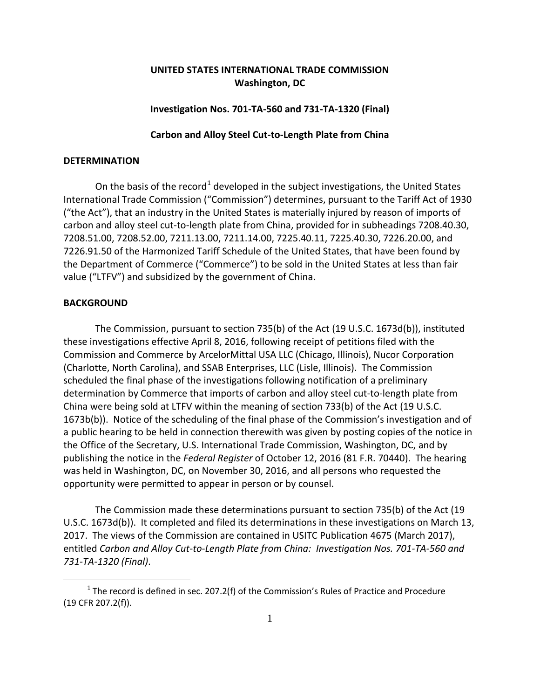# **UNITED STATES INTERNATIONAL TRADE COMMISSION Washington, DC**

## **Investigation Nos. 701-TA-560 and 731-TA-1320 (Final)**

## **Carbon and Alloy Steel Cut-to-Length Plate from China**

## **DETERMINATION**

On the basis of the record<sup>[1](#page-0-0)</sup> developed in the subject investigations, the United States International Trade Commission ("Commission") determines, pursuant to the Tariff Act of 1930 ("the Act"), that an industry in the United States is materially injured by reason of imports of carbon and alloy steel cut-to-length plate from China, provided for in subheadings 7208.40.30, 7208.51.00, 7208.52.00, 7211.13.00, 7211.14.00, 7225.40.11, 7225.40.30, 7226.20.00, and 7226.91.50 of the Harmonized Tariff Schedule of the United States, that have been found by the Department of Commerce ("Commerce") to be sold in the United States at less than fair value ("LTFV") and subsidized by the government of China.

## **BACKGROUND**

 $\overline{a}$ 

The Commission, pursuant to section 735(b) of the Act (19 U.S.C. 1673d(b)), instituted these investigations effective April 8, 2016, following receipt of petitions filed with the Commission and Commerce by ArcelorMittal USA LLC (Chicago, Illinois), Nucor Corporation (Charlotte, North Carolina), and SSAB Enterprises, LLC (Lisle, Illinois). The Commission scheduled the final phase of the investigations following notification of a preliminary determination by Commerce that imports of carbon and alloy steel cut-to-length plate from China were being sold at LTFV within the meaning of section 733(b) of the Act (19 U.S.C. 1673b(b)). Notice of the scheduling of the final phase of the Commission's investigation and of a public hearing to be held in connection therewith was given by posting copies of the notice in the Office of the Secretary, U.S. International Trade Commission, Washington, DC, and by publishing the notice in the *Federal Register* of October 12, 2016 (81 F.R. 70440). The hearing was held in Washington, DC, on November 30, 2016, and all persons who requested the opportunity were permitted to appear in person or by counsel.

The Commission made these determinations pursuant to section 735(b) of the Act (19 U.S.C. 1673d(b)). It completed and filed its determinations in these investigations on March 13, 2017. The views of the Commission are contained in USITC Publication 4675 (March 2017), entitled *Carbon and Alloy Cut-to-Length Plate from China: Investigation Nos. 701-TA-560 and 731-TA-1320 (Final)*.

<span id="page-0-0"></span> $1$  The record is defined in sec. 207.2(f) of the Commission's Rules of Practice and Procedure (19 CFR 207.2(f)).